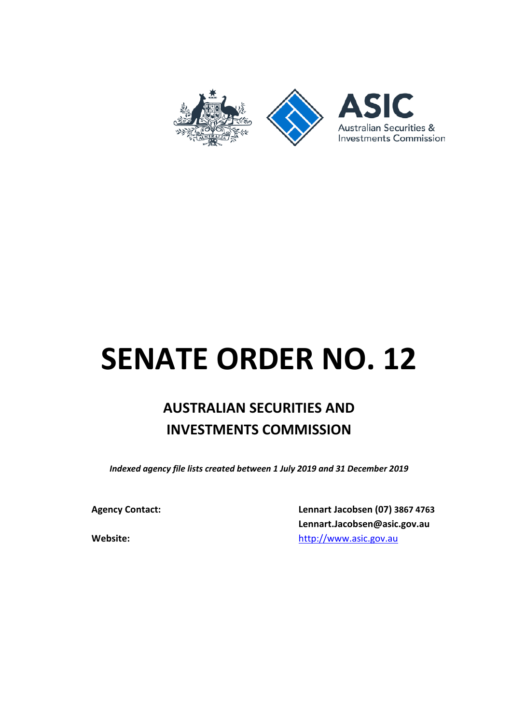

## **SENATE ORDER NO. 12**

## **AUSTRALIAN SECURITIES AND INVESTMENTS COMMISSION**

*Indexed agency file lists created between 1 July 2019 and 31 December 2019*

**Agency Contact: Lennart Jacobsen (07) 3867 4763 Lennart.Jacobsen@asic.gov.au Website:** [http://www.asic.gov.au](http://www.asic.gov.au/)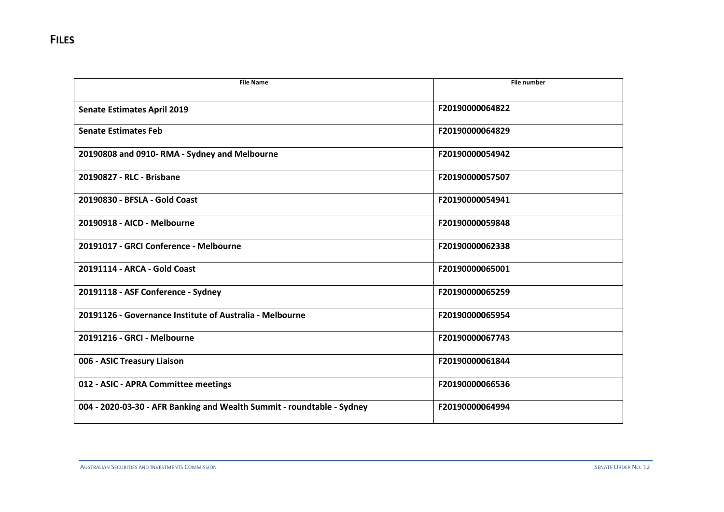| <b>File Name</b>                                                       | <b>File number</b> |
|------------------------------------------------------------------------|--------------------|
| <b>Senate Estimates April 2019</b>                                     | F20190000064822    |
| <b>Senate Estimates Feb</b>                                            | F20190000064829    |
| 20190808 and 0910-RMA - Sydney and Melbourne                           | F20190000054942    |
| 20190827 - RLC - Brisbane                                              | F20190000057507    |
| 20190830 - BFSLA - Gold Coast                                          | F20190000054941    |
| 20190918 - AICD - Melbourne                                            | F20190000059848    |
| 20191017 - GRCI Conference - Melbourne                                 | F20190000062338    |
| 20191114 - ARCA - Gold Coast                                           | F20190000065001    |
| 20191118 - ASF Conference - Sydney                                     | F20190000065259    |
| 20191126 - Governance Institute of Australia - Melbourne               | F20190000065954    |
| 20191216 - GRCI - Melbourne                                            | F20190000067743    |
| 006 - ASIC Treasury Liaison                                            | F20190000061844    |
| 012 - ASIC - APRA Committee meetings                                   | F20190000066536    |
| 004 - 2020-03-30 - AFR Banking and Wealth Summit - roundtable - Sydney | F20190000064994    |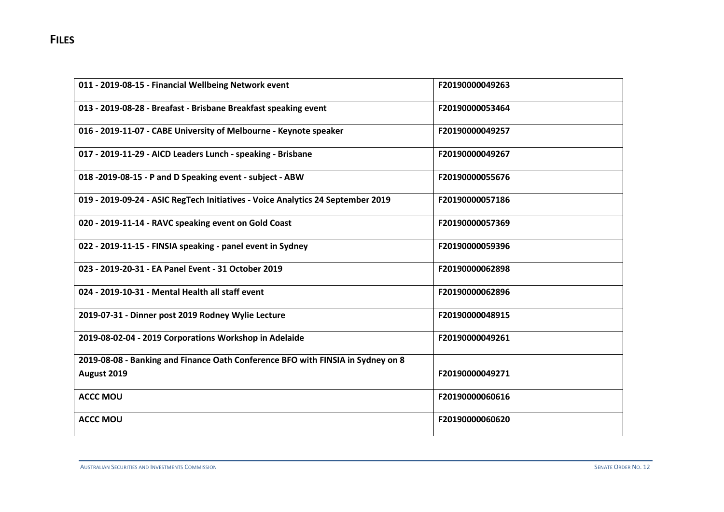| 011 - 2019-08-15 - Financial Wellbeing Network event                            | F20190000049263 |
|---------------------------------------------------------------------------------|-----------------|
| 013 - 2019-08-28 - Breafast - Brisbane Breakfast speaking event                 | F20190000053464 |
| 016 - 2019-11-07 - CABE University of Melbourne - Keynote speaker               | F20190000049257 |
| 017 - 2019-11-29 - AICD Leaders Lunch - speaking - Brisbane                     | F20190000049267 |
| 018 -2019-08-15 - P and D Speaking event - subject - ABW                        | F20190000055676 |
| 019 - 2019-09-24 - ASIC RegTech Initiatives - Voice Analytics 24 September 2019 | F20190000057186 |
| 020 - 2019-11-14 - RAVC speaking event on Gold Coast                            | F20190000057369 |
| 022 - 2019-11-15 - FINSIA speaking - panel event in Sydney                      | F20190000059396 |
| 023 - 2019-20-31 - EA Panel Event - 31 October 2019                             | F20190000062898 |
| 024 - 2019-10-31 - Mental Health all staff event                                | F20190000062896 |
| 2019-07-31 - Dinner post 2019 Rodney Wylie Lecture                              | F20190000048915 |
| 2019-08-02-04 - 2019 Corporations Workshop in Adelaide                          | F20190000049261 |
| 2019-08-08 - Banking and Finance Oath Conference BFO with FINSIA in Sydney on 8 |                 |
| August 2019                                                                     | F20190000049271 |
| <b>ACCC MOU</b>                                                                 | F20190000060616 |
| <b>ACCC MOU</b>                                                                 | F20190000060620 |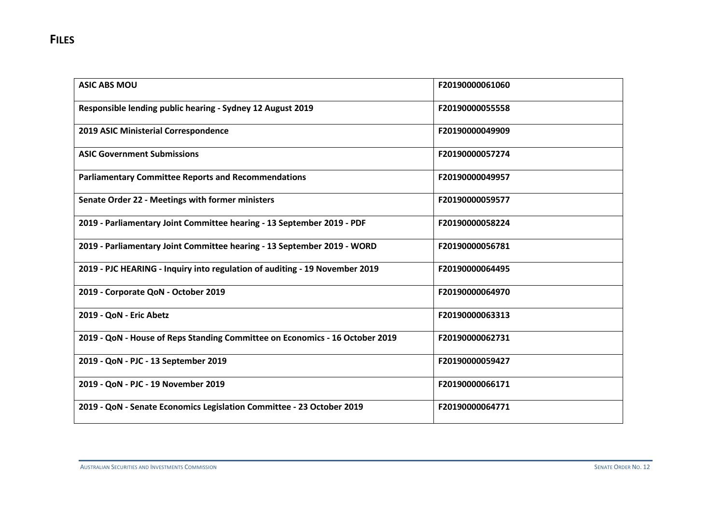| <b>ASIC ABS MOU</b>                                                          | F20190000061060 |
|------------------------------------------------------------------------------|-----------------|
| Responsible lending public hearing - Sydney 12 August 2019                   | F20190000055558 |
| 2019 ASIC Ministerial Correspondence                                         | F20190000049909 |
| <b>ASIC Government Submissions</b>                                           | F20190000057274 |
| <b>Parliamentary Committee Reports and Recommendations</b>                   | F20190000049957 |
| Senate Order 22 - Meetings with former ministers                             | F20190000059577 |
| 2019 - Parliamentary Joint Committee hearing - 13 September 2019 - PDF       | F20190000058224 |
| 2019 - Parliamentary Joint Committee hearing - 13 September 2019 - WORD      | F20190000056781 |
| 2019 - PJC HEARING - Inquiry into regulation of auditing - 19 November 2019  | F20190000064495 |
| 2019 - Corporate QoN - October 2019                                          | F20190000064970 |
| 2019 - QoN - Eric Abetz                                                      | F20190000063313 |
| 2019 - QoN - House of Reps Standing Committee on Economics - 16 October 2019 | F20190000062731 |
| 2019 - QoN - PJC - 13 September 2019                                         | F20190000059427 |
| 2019 - QoN - PJC - 19 November 2019                                          | F20190000066171 |
| 2019 - QoN - Senate Economics Legislation Committee - 23 October 2019        | F20190000064771 |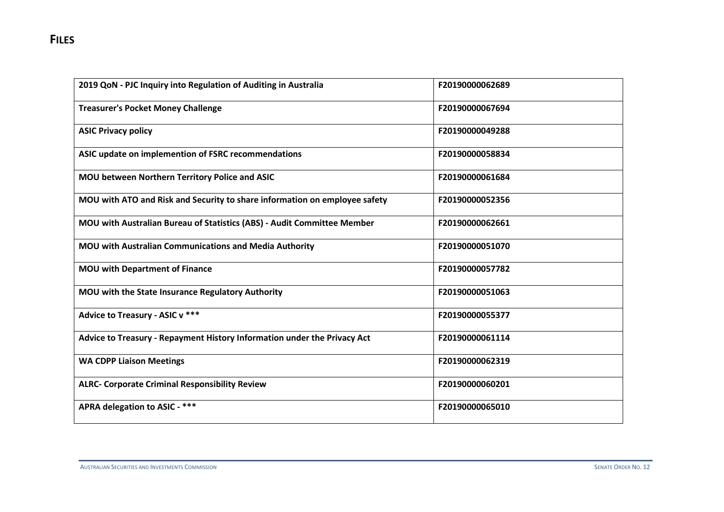| 2019 QoN - PJC Inquiry into Regulation of Auditing in Australia            | F20190000062689 |
|----------------------------------------------------------------------------|-----------------|
| <b>Treasurer's Pocket Money Challenge</b>                                  | F20190000067694 |
| <b>ASIC Privacy policy</b>                                                 | F20190000049288 |
| ASIC update on implemention of FSRC recommendations                        | F20190000058834 |
| MOU between Northern Territory Police and ASIC                             | F20190000061684 |
| MOU with ATO and Risk and Security to share information on employee safety | F20190000052356 |
| MOU with Australian Bureau of Statistics (ABS) - Audit Committee Member    | F20190000062661 |
| MOU with Australian Communications and Media Authority                     | F20190000051070 |
| <b>MOU with Department of Finance</b>                                      | F20190000057782 |
| MOU with the State Insurance Regulatory Authority                          | F20190000051063 |
| Advice to Treasury - ASIC v ***                                            | F20190000055377 |
| Advice to Treasury - Repayment History Information under the Privacy Act   | F20190000061114 |
| <b>WA CDPP Liaison Meetings</b>                                            | F20190000062319 |
| <b>ALRC- Corporate Criminal Responsibility Review</b>                      | F20190000060201 |
| APRA delegation to ASIC - ***                                              | F20190000065010 |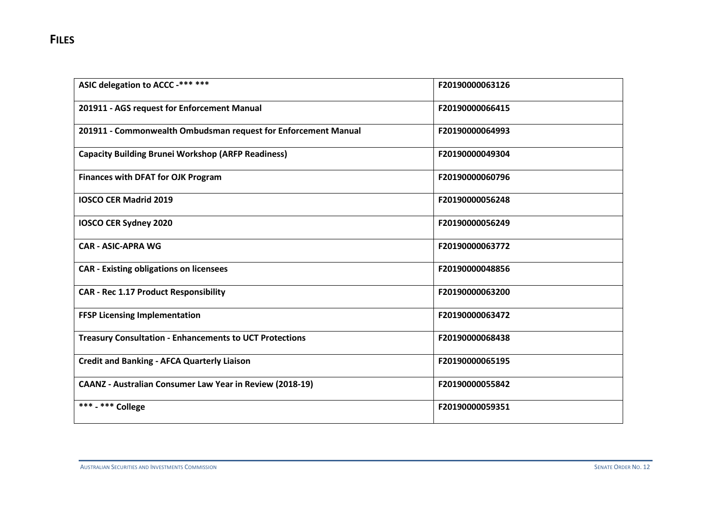| ASIC delegation to ACCC -*** ***                                | F20190000063126 |
|-----------------------------------------------------------------|-----------------|
| 201911 - AGS request for Enforcement Manual                     | F20190000066415 |
| 201911 - Commonwealth Ombudsman request for Enforcement Manual  | F20190000064993 |
| <b>Capacity Building Brunei Workshop (ARFP Readiness)</b>       | F20190000049304 |
| <b>Finances with DFAT for OJK Program</b>                       | F20190000060796 |
| <b>IOSCO CER Madrid 2019</b>                                    | F20190000056248 |
| IOSCO CER Sydney 2020                                           | F20190000056249 |
| <b>CAR - ASIC-APRA WG</b>                                       | F20190000063772 |
| <b>CAR - Existing obligations on licensees</b>                  | F20190000048856 |
| <b>CAR - Rec 1.17 Product Responsibility</b>                    | F20190000063200 |
| <b>FFSP Licensing Implementation</b>                            | F20190000063472 |
| <b>Treasury Consultation - Enhancements to UCT Protections</b>  | F20190000068438 |
| <b>Credit and Banking - AFCA Quarterly Liaison</b>              | F20190000065195 |
| <b>CAANZ - Australian Consumer Law Year in Review (2018-19)</b> | F20190000055842 |
| *** - *** College                                               | F20190000059351 |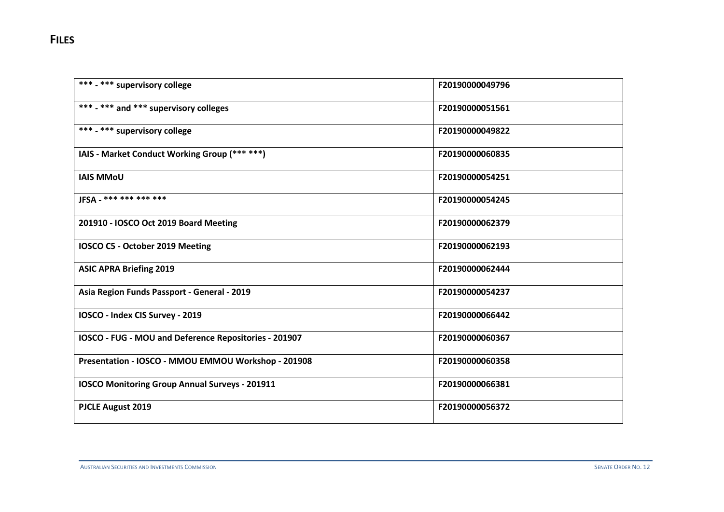| *** - *** supervisory college                         | F20190000049796 |
|-------------------------------------------------------|-----------------|
| *** - *** and *** supervisory colleges                | F20190000051561 |
| *** - *** supervisory college                         | F20190000049822 |
| IAIS - Market Conduct Working Group (*** ***)         | F20190000060835 |
| <b>IAIS MMoU</b>                                      | F20190000054251 |
| JFSA - *** *** *** ***                                | F20190000054245 |
| 201910 - IOSCO Oct 2019 Board Meeting                 | F20190000062379 |
| IOSCO C5 - October 2019 Meeting                       | F20190000062193 |
| <b>ASIC APRA Briefing 2019</b>                        | F20190000062444 |
| Asia Region Funds Passport - General - 2019           | F20190000054237 |
| IOSCO - Index CIS Survey - 2019                       | F20190000066442 |
| IOSCO - FUG - MOU and Deference Repositories - 201907 | F20190000060367 |
| Presentation - IOSCO - MMOU EMMOU Workshop - 201908   | F20190000060358 |
| <b>IOSCO Monitoring Group Annual Surveys - 201911</b> | F20190000066381 |
| <b>PJCLE August 2019</b>                              | F20190000056372 |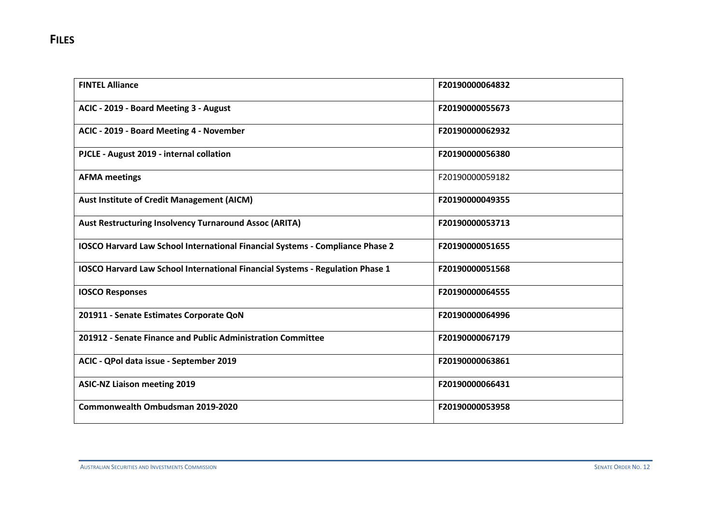| <b>FINTEL Alliance</b>                                                               | F20190000064832 |
|--------------------------------------------------------------------------------------|-----------------|
| ACIC - 2019 - Board Meeting 3 - August                                               | F20190000055673 |
| ACIC - 2019 - Board Meeting 4 - November                                             | F20190000062932 |
| PJCLE - August 2019 - internal collation                                             | F20190000056380 |
| <b>AFMA</b> meetings                                                                 | F20190000059182 |
| <b>Aust Institute of Credit Management (AICM)</b>                                    | F20190000049355 |
| <b>Aust Restructuring Insolvency Turnaround Assoc (ARITA)</b>                        | F20190000053713 |
| <b>IOSCO Harvard Law School International Financial Systems - Compliance Phase 2</b> | F20190000051655 |
| IOSCO Harvard Law School International Financial Systems - Regulation Phase 1        | F20190000051568 |
| <b>IOSCO Responses</b>                                                               | F20190000064555 |
| 201911 - Senate Estimates Corporate QoN                                              | F20190000064996 |
| 201912 - Senate Finance and Public Administration Committee                          | F20190000067179 |
| ACIC - QPol data issue - September 2019                                              | F20190000063861 |
| <b>ASIC-NZ Liaison meeting 2019</b>                                                  | F20190000066431 |
| Commonwealth Ombudsman 2019-2020                                                     | F20190000053958 |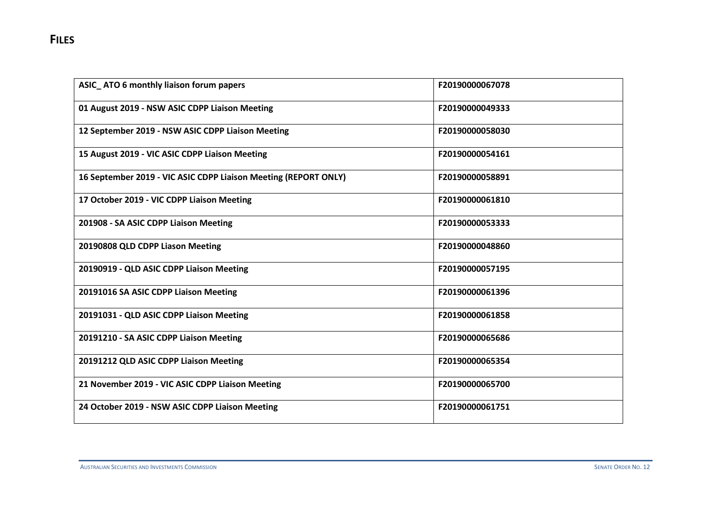| ASIC_ATO 6 monthly liaison forum papers                         | F20190000067078 |
|-----------------------------------------------------------------|-----------------|
| 01 August 2019 - NSW ASIC CDPP Liaison Meeting                  | F20190000049333 |
| 12 September 2019 - NSW ASIC CDPP Liaison Meeting               | F20190000058030 |
| 15 August 2019 - VIC ASIC CDPP Liaison Meeting                  | F20190000054161 |
| 16 September 2019 - VIC ASIC CDPP Liaison Meeting (REPORT ONLY) | F20190000058891 |
| 17 October 2019 - VIC CDPP Liaison Meeting                      | F20190000061810 |
| 201908 - SA ASIC CDPP Liaison Meeting                           | F20190000053333 |
| 20190808 QLD CDPP Liason Meeting                                | F20190000048860 |
| 20190919 - QLD ASIC CDPP Liaison Meeting                        | F20190000057195 |
| 20191016 SA ASIC CDPP Liaison Meeting                           | F20190000061396 |
| 20191031 - QLD ASIC CDPP Liaison Meeting                        | F20190000061858 |
| 20191210 - SA ASIC CDPP Liaison Meeting                         | F20190000065686 |
| 20191212 QLD ASIC CDPP Liaison Meeting                          | F20190000065354 |
| 21 November 2019 - VIC ASIC CDPP Liaison Meeting                | F20190000065700 |
| 24 October 2019 - NSW ASIC CDPP Liaison Meeting                 | F20190000061751 |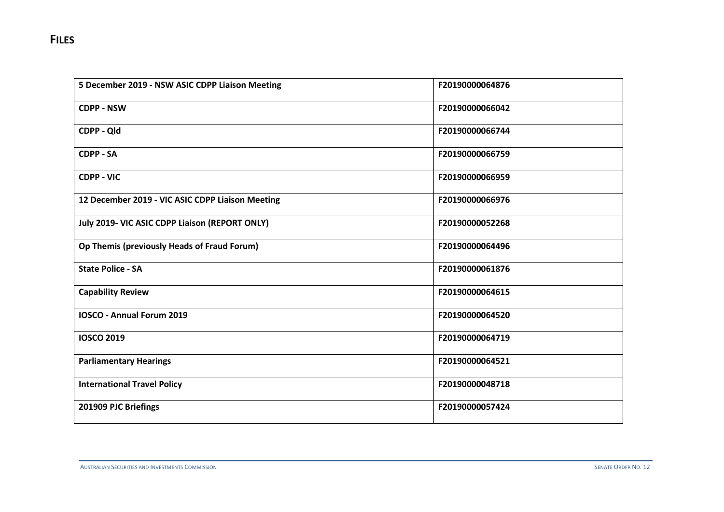| 5 December 2019 - NSW ASIC CDPP Liaison Meeting  | F20190000064876 |
|--------------------------------------------------|-----------------|
| <b>CDPP - NSW</b>                                | F20190000066042 |
| CDPP - Qld                                       | F20190000066744 |
| <b>CDPP - SA</b>                                 | F20190000066759 |
| <b>CDPP - VIC</b>                                | F20190000066959 |
| 12 December 2019 - VIC ASIC CDPP Liaison Meeting | F20190000066976 |
| July 2019- VIC ASIC CDPP Liaison (REPORT ONLY)   | F20190000052268 |
| Op Themis (previously Heads of Fraud Forum)      | F20190000064496 |
| <b>State Police - SA</b>                         | F20190000061876 |
| <b>Capability Review</b>                         | F20190000064615 |
| <b>IOSCO - Annual Forum 2019</b>                 | F20190000064520 |
| <b>IOSCO 2019</b>                                | F20190000064719 |
| <b>Parliamentary Hearings</b>                    | F20190000064521 |
| <b>International Travel Policy</b>               | F20190000048718 |
| 201909 PJC Briefings                             | F20190000057424 |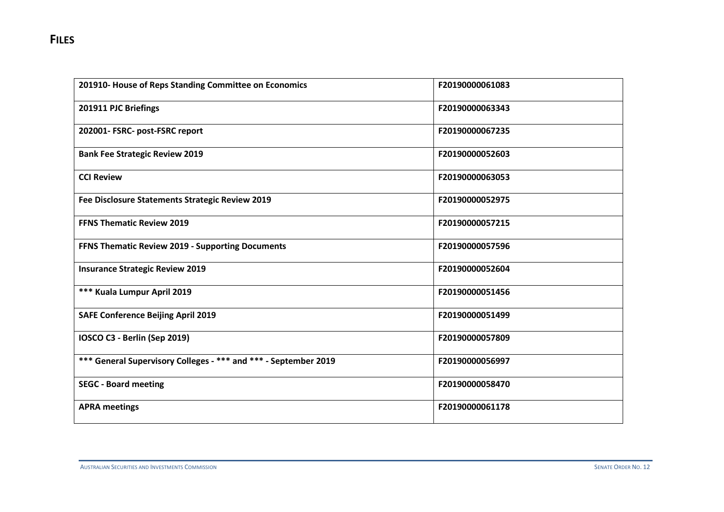| 201910- House of Reps Standing Committee on Economics           | F20190000061083 |
|-----------------------------------------------------------------|-----------------|
| 201911 PJC Briefings                                            | F20190000063343 |
| 202001- FSRC- post-FSRC report                                  | F20190000067235 |
| <b>Bank Fee Strategic Review 2019</b>                           | F20190000052603 |
| <b>CCI Review</b>                                               | F20190000063053 |
| Fee Disclosure Statements Strategic Review 2019                 | F20190000052975 |
| <b>FFNS Thematic Review 2019</b>                                | F20190000057215 |
| FFNS Thematic Review 2019 - Supporting Documents                | F20190000057596 |
| <b>Insurance Strategic Review 2019</b>                          | F20190000052604 |
| *** Kuala Lumpur April 2019                                     | F20190000051456 |
| <b>SAFE Conference Beijing April 2019</b>                       | F20190000051499 |
| IOSCO C3 - Berlin (Sep 2019)                                    | F20190000057809 |
| *** General Supervisory Colleges - *** and *** - September 2019 | F20190000056997 |
| <b>SEGC - Board meeting</b>                                     | F20190000058470 |
| <b>APRA meetings</b>                                            | F20190000061178 |